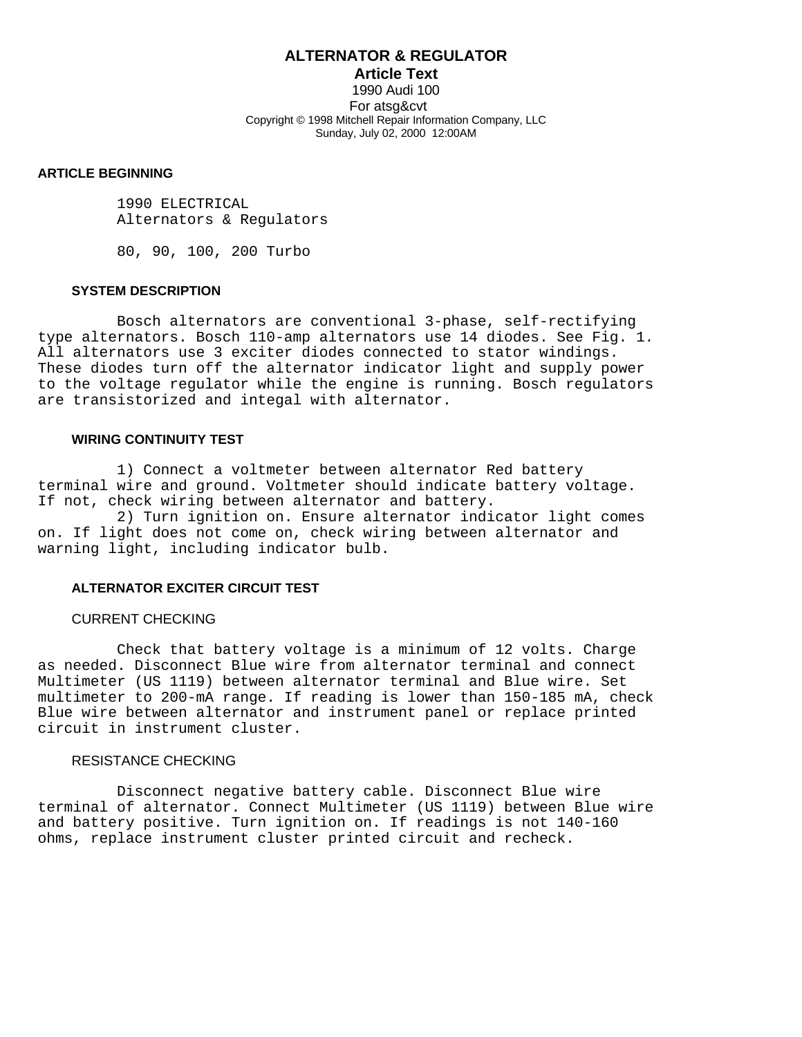# **ALTERNATOR & REGULATOR**

**Article Text** 1990 Audi 100 For atsg&cvt Copyright © 1998 Mitchell Repair Information Company, LLC Sunday, July 02, 2000 12:00AM

### **ARTICLE BEGINNING**

 1990 ELECTRICAL Alternators & Regulators

80, 90, 100, 200 Turbo

## **SYSTEM DESCRIPTION**

 Bosch alternators are conventional 3-phase, self-rectifying type alternators. Bosch 110-amp alternators use 14 diodes. See Fig. 1. All alternators use 3 exciter diodes connected to stator windings. These diodes turn off the alternator indicator light and supply power to the voltage regulator while the engine is running. Bosch regulators are transistorized and integal with alternator.

## **WIRING CONTINUITY TEST**

 1) Connect a voltmeter between alternator Red battery terminal wire and ground. Voltmeter should indicate battery voltage. If not, check wiring between alternator and battery.

 2) Turn ignition on. Ensure alternator indicator light comes on. If light does not come on, check wiring between alternator and warning light, including indicator bulb.

#### **ALTERNATOR EXCITER CIRCUIT TEST**

#### CURRENT CHECKING

 Check that battery voltage is a minimum of 12 volts. Charge as needed. Disconnect Blue wire from alternator terminal and connect Multimeter (US 1119) between alternator terminal and Blue wire. Set multimeter to 200-mA range. If reading is lower than 150-185 mA, check Blue wire between alternator and instrument panel or replace printed circuit in instrument cluster.

## RESISTANCE CHECKING

 Disconnect negative battery cable. Disconnect Blue wire terminal of alternator. Connect Multimeter (US 1119) between Blue wire and battery positive. Turn ignition on. If readings is not 140-160 ohms, replace instrument cluster printed circuit and recheck.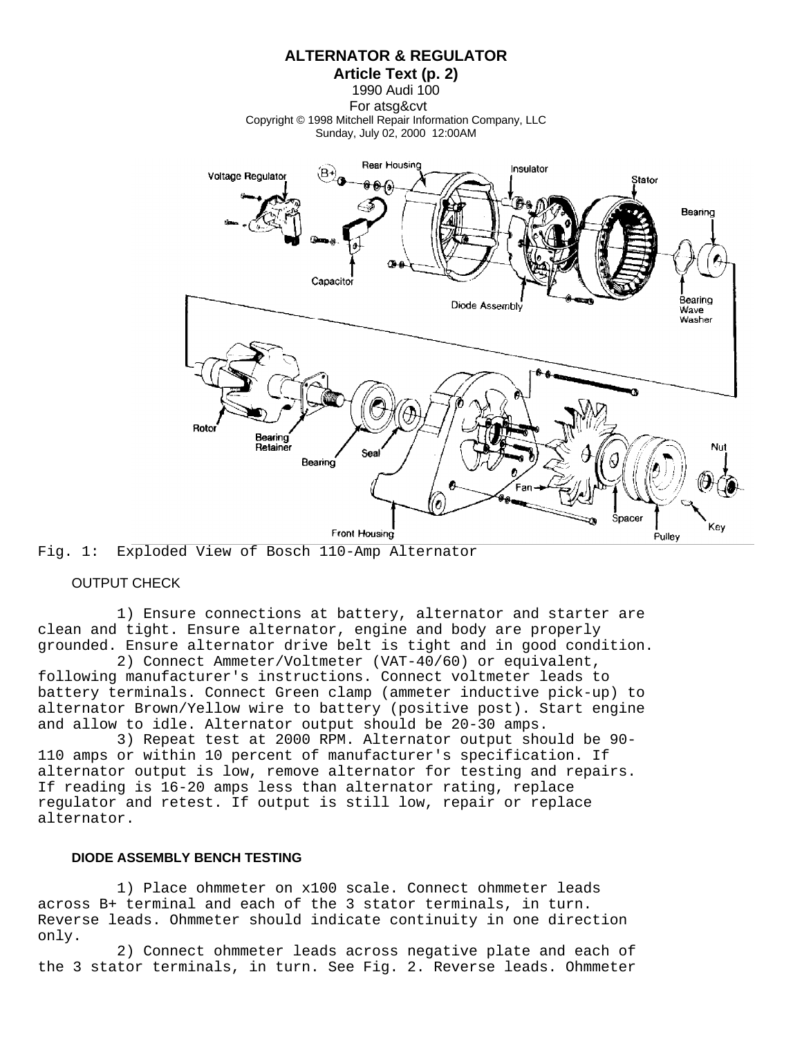

Fig. 1: Exploded View of Bosch 110-Amp Alternator

## OUTPUT CHECK

 1) Ensure connections at battery, alternator and starter are clean and tight. Ensure alternator, engine and body are properly grounded. Ensure alternator drive belt is tight and in good condition.

 2) Connect Ammeter/Voltmeter (VAT-40/60) or equivalent, following manufacturer's instructions. Connect voltmeter leads to battery terminals. Connect Green clamp (ammeter inductive pick-up) to alternator Brown/Yellow wire to battery (positive post). Start engine and allow to idle. Alternator output should be 20-30 amps.

 3) Repeat test at 2000 RPM. Alternator output should be 90- 110 amps or within 10 percent of manufacturer's specification. If alternator output is low, remove alternator for testing and repairs. If reading is 16-20 amps less than alternator rating, replace regulator and retest. If output is still low, repair or replace alternator.

## **DIODE ASSEMBLY BENCH TESTING**

 1) Place ohmmeter on x100 scale. Connect ohmmeter leads across B+ terminal and each of the 3 stator terminals, in turn. Reverse leads. Ohmmeter should indicate continuity in one direction only.

 2) Connect ohmmeter leads across negative plate and each of the 3 stator terminals, in turn. See Fig. 2. Reverse leads. Ohmmeter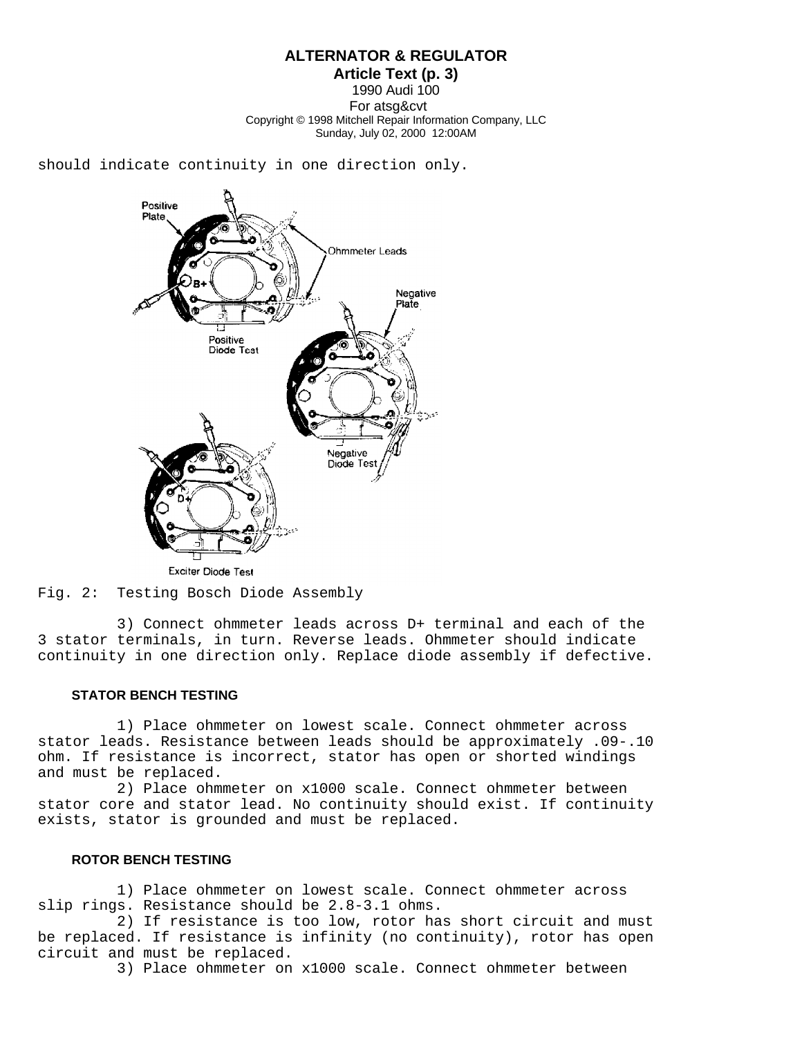# **ALTERNATOR & REGULATOR**

**Article Text (p. 3)**

1990 Audi 100 For atsg&cvt Copyright © 1998 Mitchell Repair Information Company, LLC Sunday, July 02, 2000 12:00AM

should indicate continuity in one direction only.



Fig. 2: Testing Bosch Diode Assembly

 3) Connect ohmmeter leads across D+ terminal and each of the 3 stator terminals, in turn. Reverse leads. Ohmmeter should indicate continuity in one direction only. Replace diode assembly if defective.

## **STATOR BENCH TESTING**

 1) Place ohmmeter on lowest scale. Connect ohmmeter across stator leads. Resistance between leads should be approximately .09-.10 ohm. If resistance is incorrect, stator has open or shorted windings and must be replaced.

 2) Place ohmmeter on x1000 scale. Connect ohmmeter between stator core and stator lead. No continuity should exist. If continuity exists, stator is grounded and must be replaced.

# **ROTOR BENCH TESTING**

 1) Place ohmmeter on lowest scale. Connect ohmmeter across slip rings. Resistance should be 2.8-3.1 ohms.

 2) If resistance is too low, rotor has short circuit and must be replaced. If resistance is infinity (no continuity), rotor has open circuit and must be replaced.

3) Place ohmmeter on x1000 scale. Connect ohmmeter between